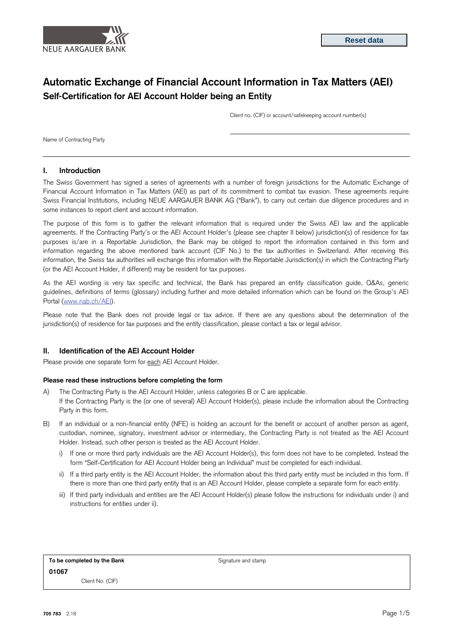

# **Automatic Exchange of Financial Account Information in Tax Matters (AEI) Self-Certification for AEI Account Holder being an Entity**

Client no. (CIF) or account/safekeeping account number(s)

Name of Contracting Party

### **I. Introduction**

The Swiss Government has signed a series of agreements with a number of foreign jurisdictions for the Automatic Exchange of Financial Account Information in Tax Matters (AEI) as part of its commitment to combat tax evasion. These agreements require Swiss Financial Institutions, including NEUE AARGAUER BANK AG ("Bank"), to carry out certain due diligence procedures and in some instances to report client and account information.

The purpose of this form is to gather the relevant information that is required under the Swiss AEI law and the applicable agreements. If the Contracting Party's or the AEI Account Holder's (please see chapter II below) jurisdiction(s) of residence for tax purposes is/are in a Reportable Jurisdiction, the Bank may be obliged to report the information contained in this form and information regarding the above mentioned bank account (CIF No.) to the tax authorities in Switzerland. After receiving this information, the Swiss tax authorities will exchange this information with the Reportable Jurisdiction(s*)* in which the Contracting Party (or the AEI Account Holder, if different) may be resident for tax purposes.

As the AEI wording is very tax specific and technical, the Bank has prepared an entity classification guide, Q&As, generic guidelines, definitions of terms (glossary) including further and more detailed information which can be found on the Group's AEI Portal [\(www.nab.ch/AEI\).](http://www.credit-suisse.com/AEI)

Please note that the Bank does not provide legal or tax advice. If there are any questions about the determination of the jurisdiction(s) of residence for tax purposes and the entity classification, please contact a tax or legal advisor.

# **II. Identification of the AEI Account Holder**

Please provide one separate form for each AEI Account Holder.

#### **Please read these instructions before completing the form**

- A) The Contracting Party is the AEI Account Holder, unless categories B or C are applicable. If the Contracting Party is the (or one of several) AEI Account Holder(s), please include the information about the Contracting Party in this form.
- B) If an individual or a non-financial entity (NFE) is holding an account for the benefit or account of another person as agent, custodian, nominee, signatory, investment advisor or intermediary, the Contracting Party is not treated as the AEI Account Holder. Instead, such other person is treated as the AEI Account Holder.
	- i) If one or more third party individuals are the AEI Account Holder(s), this form does not have to be completed. Instead the form "Self-Certification for AEI Account Holder being an Individual" must be completed for each individual.
	- ii) If a third party entity is the AEI Account Holder, the information about this third party entity must be included in this form. If there is more than one third party entity that is an AEI Account Holder, please complete a separate form for each entity.
	- iii) If third party individuals and entities are the AEI Account Holder(s) please follow the instructions for individuals under i) and instructions for entities under ii).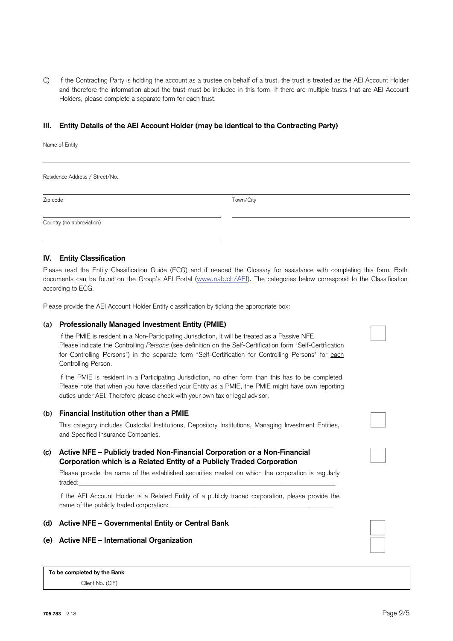C) If the Contracting Party is holding the account as a trustee on behalf of a trust, the trust is treated as the AEI Account Holder and therefore the information about the trust must be included in this form. If there are multiple trusts that are AEI Account Holders, please complete a separate form for each trust.

# **III. Entity Details of the AEI Account Holder (may be identical to the Contracting Party)**

Name of Entity

Residence Address / Street/No.

Zip code Town/City

Country (no abbreviation)

# **IV. Entity Classification**

Please read the Entity Classification Guide (ECG) and if needed the Glossary for assistance with completing this form. Both documents can be found on the Group's AEI Portal [\(www.nab.ch/AEI\).](http://www.credit-suisse.com/AEI) The categories below correspond to the Classification according to ECG.

Please provide the AEI Account Holder Entity classification by ticking the appropriate box:

## **(a) Professionally Managed Investment Entity (PMIE)**

If the PMIE is resident in a Non-Participating Jurisdiction, it will be treated as a Passive NFE. Please indicate the Controlling *Persons* (see definition on the Self-Certification form "Self-Certification for Controlling Persons") in the separate form "Self-Certification for Controlling Persons" for each Controlling Person.

If the PMIE is resident in a Participating Jurisdiction, no other form than this has to be completed. Please note that when you have classified your Entity as a PMIE, the PMIE might have own reporting duties under AEI. Therefore please check with your own tax or legal advisor.

## **(b) Financial Institution other than a PMIE**

This category includes Custodial Institutions, Depository Institutions, Managing Investment Entities, and Specified Insurance Companies.

# **(c) Active NFE – Publicly traded Non-Financial Corporation or a Non-Financial Corporation which is a Related Entity of a Publicly Traded Corporation**

Please provide the name of the established securities market on which the corporation is regularly traded:\_\_\_\_\_\_\_\_\_\_\_\_\_\_\_\_\_\_\_\_\_\_\_\_\_\_\_\_\_\_\_\_\_\_\_\_\_\_\_\_\_\_\_\_\_\_\_\_\_\_\_\_\_\_\_\_\_\_\_\_\_\_\_\_\_\_\_\_\_\_\_\_\_\_\_

If the AEI Account Holder is a Related Entity of a publicly traded corporation, please provide the name of the publicly traded corporation:

## **(d) Active NFE – Governmental Entity or Central Bank**

#### **(e) Active NFE – International Organization**

**To be completed by the Bank** Client No. (CIF)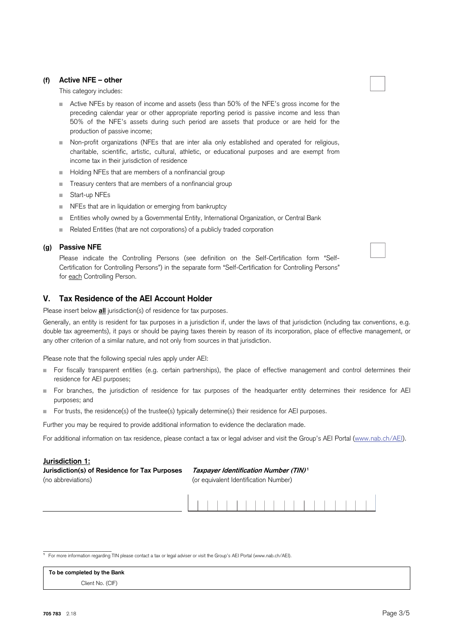# **(f) Active NFE – other**

This category includes:

- Active NFEs by reason of income and assets (less than 50% of the NFE's gross income for the preceding calendar year or other appropriate reporting period is passive income and less than 50% of the NFE's assets during such period are assets that produce or are held for the production of passive income;
- Non-profit organizations (NFEs that are inter alia only established and operated for religious, charitable, scientific, artistic, cultural, athletic, or educational purposes and are exempt from income tax in their jurisdiction of residence
- Holding NFEs that are members of a nonfinancial group
- Treasury centers that are members of a nonfinancial group
- Start-up NFEs
- NFEs that are in liquidation or emerging from bankruptcy
- **Entities wholly owned by a Governmental Entity, International Organization, or Central Bank**
- Related Entities (that are not corporations) of a publicly traded corporation

# **(g) Passive NFE**

Please indicate the Controlling Persons (see definition on the Self-Certification form "Self-Certification for Controlling Persons") in the separate form "Self-Certification for Controlling Persons" for each Controlling Person.

# **V. Tax Residence of the AEI Account Holder**

Please insert below **all** jurisdiction(s) of residence for tax purposes.

Generally, an entity is resident for tax purposes in a jurisdiction if, under the laws of that jurisdiction (including tax conventions, e.g. double tax agreements), it pays or should be paying taxes therein by reason of its incorporation, place of effective management, or any other criterion of a similar nature, and not only from sources in that jurisdiction.

Please note that the following special rules apply under AEI:

- For fiscally transparent entities (e.g. certain partnerships), the place of effective management and control determines their residence for AEI purposes;
- For branches, the jurisdiction of residence for tax purposes of the headquarter entity determines their residence for AEI purposes; and
- For trusts, the residence(s) of the trustee(s) typically determine(s) their residence for AEI purposes.

Further you may be required to provide additional information to evidence the declaration made.

For additional information on tax residence, please contact a tax or legal adviser and visit the Group's AEI Portal [\(www.nab.ch/AEI\).](http://www.credit-suisse.com/AEI)

#### **Jurisdiction 1:**

\_\_\_\_\_\_\_\_\_\_\_\_\_\_\_\_\_\_\_\_

| Jurisdiction(s) of Residence for Tax Purposes | Taxpayer Identification Number (TIN)1 |
|-----------------------------------------------|---------------------------------------|
| (no abbreviations)                            | (or equivalent Identification Number) |



**1** For more information regarding TIN please contact a tax or legal adviser or visit the Group's AEI Portal (www.nab.ch/AEI).

**To be completed by the Bank** Client No. (CIF)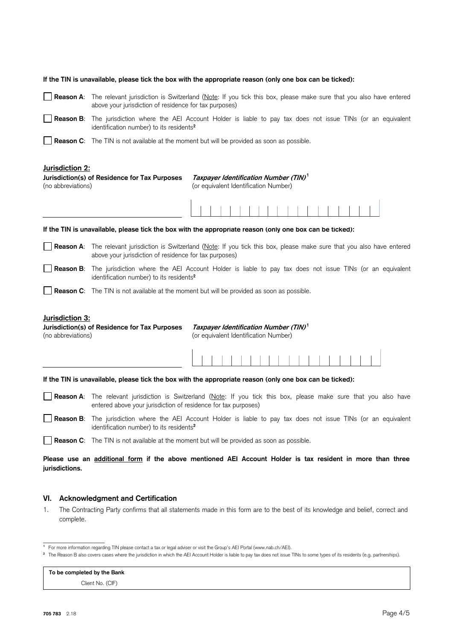| If the TIN is unavailable, please tick the box with the appropriate reason (only one box can be ticked):                                                                             |                                                                                                                                                                                              |                                                                                            |  |
|--------------------------------------------------------------------------------------------------------------------------------------------------------------------------------------|----------------------------------------------------------------------------------------------------------------------------------------------------------------------------------------------|--------------------------------------------------------------------------------------------|--|
|                                                                                                                                                                                      | Reason A: The relevant jurisdiction is Switzerland (Note: If you tick this box, please make sure that you also have entered<br>above your jurisdiction of residence for tax purposes)        |                                                                                            |  |
|                                                                                                                                                                                      | Reason B: The jurisdiction where the AEI Account Holder is liable to pay tax does not issue TINs (or an equivalent<br>identification number) to its residents <sup>2</sup>                   |                                                                                            |  |
|                                                                                                                                                                                      | Reason C: The TIN is not available at the moment but will be provided as soon as possible.                                                                                                   |                                                                                            |  |
| Jurisdiction 2:<br>(no abbreviations)                                                                                                                                                | Jurisdiction(s) of Residence for Tax Purposes                                                                                                                                                | Taxpayer Identification Number (TIN) <sup>1</sup><br>(or equivalent Identification Number) |  |
|                                                                                                                                                                                      |                                                                                                                                                                                              |                                                                                            |  |
| If the TIN is unavailable, please tick the box with the appropriate reason (only one box can be ticked):                                                                             |                                                                                                                                                                                              |                                                                                            |  |
|                                                                                                                                                                                      | Reason A: The relevant jurisdiction is Switzerland (Note: If you tick this box, please make sure that you also have entered<br>above your jurisdiction of residence for tax purposes)        |                                                                                            |  |
|                                                                                                                                                                                      | Reason B: The jurisdiction where the AEI Account Holder is liable to pay tax does not issue TINs (or an equivalent<br>identification number) to its residents <sup>2</sup>                   |                                                                                            |  |
|                                                                                                                                                                                      | <b>Reason C:</b> The TIN is not available at the moment but will be provided as soon as possible.                                                                                            |                                                                                            |  |
| Jurisdiction 3:<br>Taxpayer Identification Number (TIN) <sup>1</sup><br>Jurisdiction(s) of Residence for Tax Purposes<br>(no abbreviations)<br>(or equivalent Identification Number) |                                                                                                                                                                                              |                                                                                            |  |
|                                                                                                                                                                                      |                                                                                                                                                                                              |                                                                                            |  |
| If the TIN is unavailable, please tick the box with the appropriate reason (only one box can be ticked):                                                                             |                                                                                                                                                                                              |                                                                                            |  |
|                                                                                                                                                                                      | <b>Reason A:</b> The relevant jurisdiction is Switzerland (Note: If you tick this box, please make sure that you also have<br>entered above your jurisdiction of residence for tax purposes) |                                                                                            |  |
|                                                                                                                                                                                      | Reason B: The jurisdiction where the AEI Account Holder is liable to pay tax does not issue TINs (or an equivalent<br>identification number) to its residents <sup>2</sup>                   |                                                                                            |  |
|                                                                                                                                                                                      | <b>Reason C:</b> The TIN is not available at the moment but will be provided as soon as possible.                                                                                            |                                                                                            |  |
| Please use an additional form if the above mentioned AEI Account Holder is tax resident in more than three<br>jurisdictions.                                                         |                                                                                                                                                                                              |                                                                                            |  |

# **VI. Acknowledgment and Certification**

1. The Contracting Party confirms that all statements made in this form are to the best of its knowledge and belief, correct and complete.

# **To be completed by the Bank**

Client No. (CIF)

\_\_\_\_\_\_\_\_\_\_\_\_\_\_\_\_\_\_ **1** For more information regarding TIN please contact a tax or legal adviser or visit the Group's AEI Portal (www.nab.ch/AEI).

<sup>&</sup>lt;sup>2</sup> The Reason B also covers cases where the jurisdiction in which the AEI Account Holder is liable to pay tax does not issue TINs to some types of its residents (e.g. partnerships).